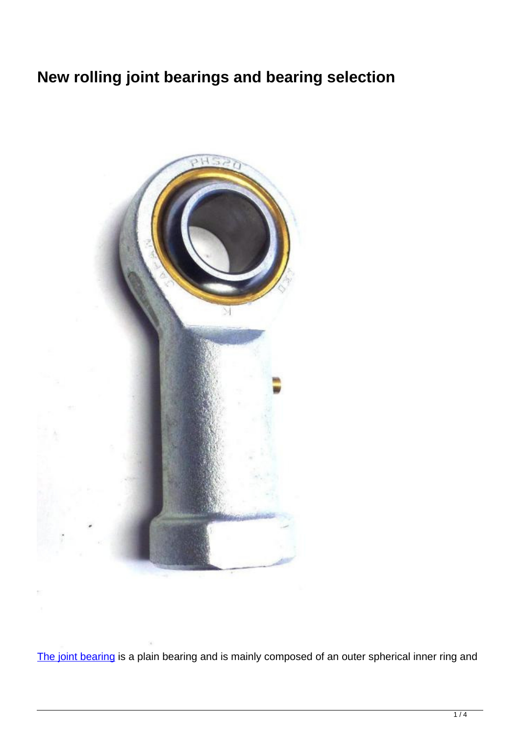# **New rolling joint bearings and bearing selection**



[The joint bearing](http://www.ifompt.com/) is a plain bearing and is mainly composed of an outer spherical inner ring and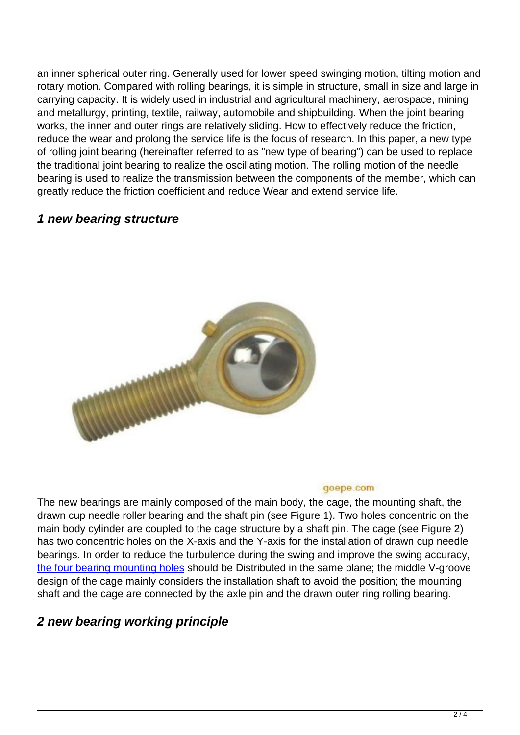an inner spherical outer ring. Generally used for lower speed swinging motion, tilting motion and rotary motion. Compared with rolling bearings, it is simple in structure, small in size and large in carrying capacity. It is widely used in industrial and agricultural machinery, aerospace, mining and metallurgy, printing, textile, railway, automobile and shipbuilding. When the joint bearing works, the inner and outer rings are relatively sliding. How to effectively reduce the friction, reduce the wear and prolong the service life is the focus of research. In this paper, a new type of rolling joint bearing (hereinafter referred to as "new type of bearing") can be used to replace the traditional joint bearing to realize the oscillating motion. The rolling motion of the needle bearing is used to realize the transmission between the components of the member, which can greatly reduce the friction coefficient and reduce Wear and extend service life.

#### **1 new bearing structure**



#### goepe.com

The new bearings are mainly composed of the main body, the cage, the mounting shaft, the drawn cup needle roller bearing and the shaft pin (see Figure 1). Two holes concentric on the main body cylinder are coupled to the cage structure by a shaft pin. The cage (see Figure 2) has two concentric holes on the X-axis and the Y-axis for the installation of drawn cup needle bearings. In order to reduce the turbulence during the swing and improve the swing accuracy, [the four bearing mounting holes](http://www.ifompt.com/factory-25813-optimized-roll-bearings-for-iron-and-steel-industry) should be Distributed in the same plane; the middle V-groove design of the cage mainly considers the installation shaft to avoid the position; the mounting shaft and the cage are connected by the axle pin and the drawn outer ring rolling bearing.

### **2 new bearing working principle**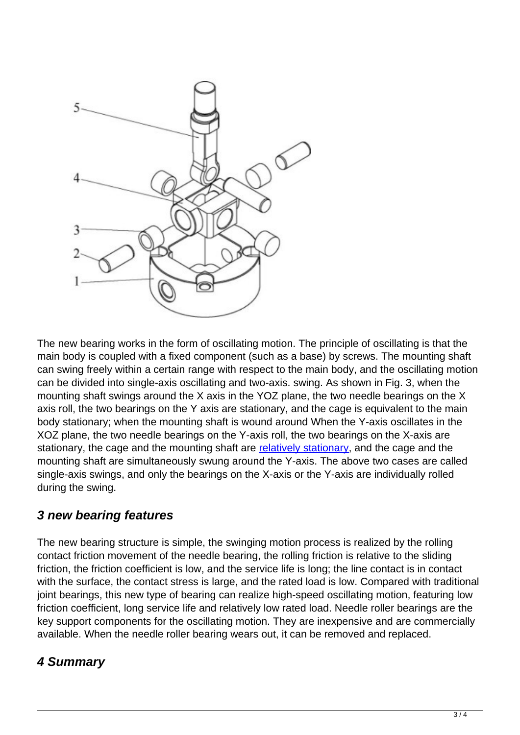

The new bearing works in the form of oscillating motion. The principle of oscillating is that the main body is coupled with a fixed component (such as a base) by screws. The mounting shaft can swing freely within a certain range with respect to the main body, and the oscillating motion can be divided into single-axis oscillating and two-axis. swing. As shown in Fig. 3, when the mounting shaft swings around the X axis in the YOZ plane, the two needle bearings on the X axis roll, the two bearings on the Y axis are stationary, and the cage is equivalent to the main body stationary; when the mounting shaft is wound around When the Y-axis oscillates in the XOZ plane, the two needle bearings on the Y-axis roll, the two bearings on the X-axis are stationary, the cage and the mounting shaft are [relatively stationary](http://www.ifompt.com/factory-25814-hydrostatic-centripetal-bearing), and the cage and the mounting shaft are simultaneously swung around the Y-axis. The above two cases are called single-axis swings, and only the bearings on the X-axis or the Y-axis are individually rolled during the swing.

### **3 new bearing features**

The new bearing structure is simple, the swinging motion process is realized by the rolling contact friction movement of the needle bearing, the rolling friction is relative to the sliding friction, the friction coefficient is low, and the service life is long; the line contact is in contact with the surface, the contact stress is large, and the rated load is low. Compared with traditional joint bearings, this new type of bearing can realize high-speed oscillating motion, featuring low friction coefficient, long service life and relatively low rated load. Needle roller bearings are the key support components for the oscillating motion. They are inexpensive and are commercially available. When the needle roller bearing wears out, it can be removed and replaced.

## **4 Summary**